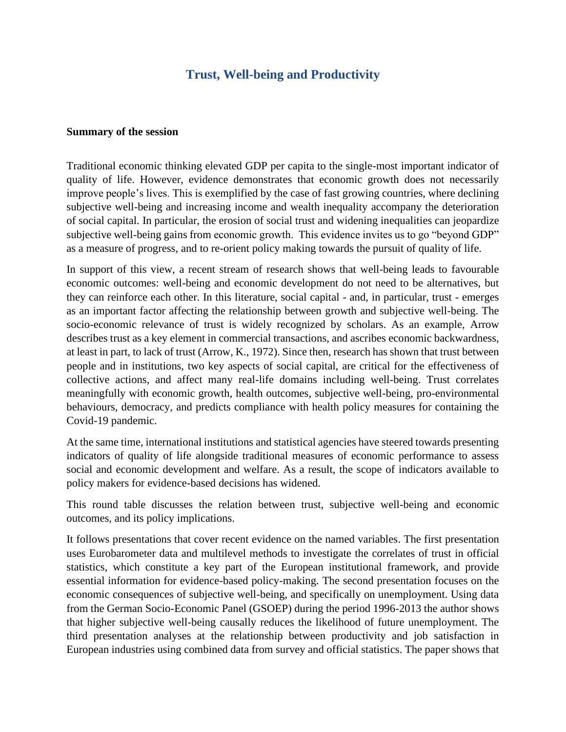## **Trust, Well-being and Productivity**

## **Summary of the session**

Traditional economic thinking elevated GDP per capita to the single-most important indicator of quality of life. However, evidence demonstrates that economic growth does not necessarily improve people's lives. This is exemplified by the case of fast growing countries, where declining subjective well-being and increasing income and wealth inequality accompany the deterioration of social capital. In particular, the erosion of social trust and widening inequalities can jeopardize subjective well-being gains from economic growth. This evidence invites us to go "beyond GDP" as a measure of progress, and to re-orient policy making towards the pursuit of quality of life.

In support of this view, a recent stream of research shows that well-being leads to favourable economic outcomes: well-being and economic development do not need to be alternatives, but they can reinforce each other. In this literature, social capital - and, in particular, trust - emerges as an important factor affecting the relationship between growth and subjective well-being. The socio-economic relevance of trust is widely recognized by scholars. As an example, Arrow describes trust as a key element in commercial transactions, and ascribes economic backwardness, at least in part, to lack of trust (Arrow, K., 1972). Since then, research has shown that trust between people and in institutions, two key aspects of social capital, are critical for the effectiveness of collective actions, and affect many real-life domains including well-being. Trust correlates meaningfully with economic growth, health outcomes, subjective well-being, pro-environmental behaviours, democracy, and predicts compliance with health policy measures for containing the Covid-19 pandemic.

At the same time, international institutions and statistical agencies have steered towards presenting indicators of quality of life alongside traditional measures of economic performance to assess social and economic development and welfare. As a result, the scope of indicators available to policy makers for evidence-based decisions has widened.

This round table discusses the relation between trust, subjective well-being and economic outcomes, and its policy implications.

It follows presentations that cover recent evidence on the named variables. The first presentation uses Eurobarometer data and multilevel methods to investigate the correlates of trust in official statistics, which constitute a key part of the European institutional framework, and provide essential information for evidence-based policy-making. The second presentation focuses on the economic consequences of subjective well-being, and specifically on unemployment. Using data from the German Socio-Economic Panel (GSOEP) during the period 1996-2013 the author shows that higher subjective well-being causally reduces the likelihood of future unemployment. The third presentation analyses at the relationship between productivity and job satisfaction in European industries using combined data from survey and official statistics. The paper shows that